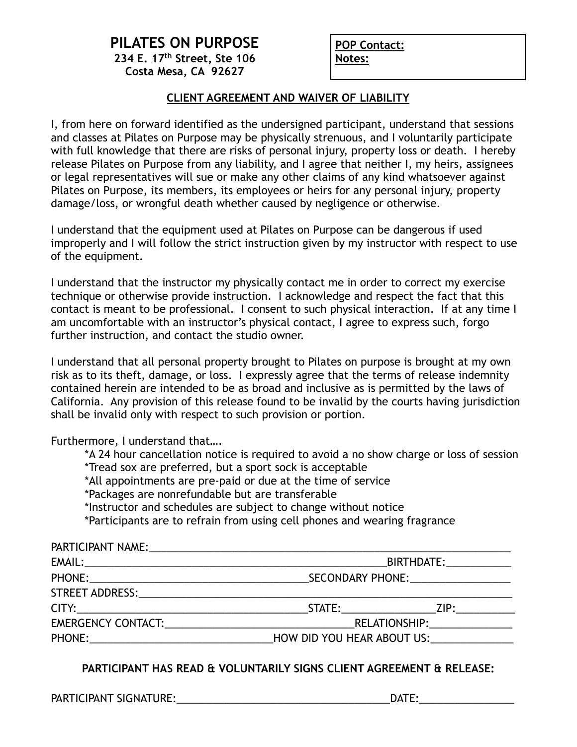## **PILATES ON PURPOSE 234 E. 17th Street, Ste 106 Costa Mesa, CA 92627**

**POP Contact: Notes:**

## **CLIENT AGREEMENT AND WAIVER OF LIABILITY**

I, from here on forward identified as the undersigned participant, understand that sessions and classes at Pilates on Purpose may be physically strenuous, and I voluntarily participate with full knowledge that there are risks of personal injury, property loss or death. I hereby release Pilates on Purpose from any liability, and I agree that neither I, my heirs, assignees or legal representatives will sue or make any other claims of any kind whatsoever against Pilates on Purpose, its members, its employees or heirs for any personal injury, property damage/loss, or wrongful death whether caused by negligence or otherwise.

I understand that the equipment used at Pilates on Purpose can be dangerous if used improperly and I will follow the strict instruction given by my instructor with respect to use of the equipment.

I understand that the instructor my physically contact me in order to correct my exercise technique or otherwise provide instruction. I acknowledge and respect the fact that this contact is meant to be professional. I consent to such physical interaction. If at any time I am uncomfortable with an instructor's physical contact, I agree to express such, forgo further instruction, and contact the studio owner.

I understand that all personal property brought to Pilates on purpose is brought at my own risk as to its theft, damage, or loss. I expressly agree that the terms of release indemnity contained herein are intended to be as broad and inclusive as is permitted by the laws of California. Any provision of this release found to be invalid by the courts having jurisdiction shall be invalid only with respect to such provision or portion.

Furthermore, I understand that….

| *A 24 hour cancellation notice is required to avoid a no show charge or loss of session                          |                                                                                                                 |                         |  |  |
|------------------------------------------------------------------------------------------------------------------|-----------------------------------------------------------------------------------------------------------------|-------------------------|--|--|
| *Tread sox are preferred, but a sport sock is acceptable                                                         |                                                                                                                 |                         |  |  |
| *All appointments are pre-paid or due at the time of service                                                     |                                                                                                                 |                         |  |  |
| *Packages are nonrefundable but are transferable                                                                 |                                                                                                                 |                         |  |  |
| *Instructor and schedules are subject to change without notice                                                   |                                                                                                                 |                         |  |  |
| *Participants are to refrain from using cell phones and wearing fragrance                                        |                                                                                                                 |                         |  |  |
| PARTICIPANT NAME: NAME: NAME                                                                                     |                                                                                                                 |                         |  |  |
|                                                                                                                  |                                                                                                                 | BIRTHDATE:_____________ |  |  |
|                                                                                                                  | SECONDARY PHONE: The contract of the contract of the contract of the contract of the contract of the contract o |                         |  |  |
| STREET ADDRESS: North and the set of the set of the set of the set of the set of the set of the set of the set o |                                                                                                                 |                         |  |  |
|                                                                                                                  |                                                                                                                 |                         |  |  |
| EMERGENCY CONTACT:                                                                                               | RELATIONSHIP:__________________                                                                                 |                         |  |  |

PHONE:\_\_\_\_\_\_\_\_\_\_\_\_\_\_\_\_\_\_\_\_\_\_\_\_\_\_\_\_\_\_\_HOW DID YOU HEAR ABOUT US:\_\_\_\_\_\_\_\_\_\_\_\_\_\_

## **PARTICIPANT HAS READ & VOLUNTARILY SIGNS CLIENT AGREEMENT & RELEASE:**

PARTICIPANT SIGNATURE: The contract of the contract of the contract of the contract of the contract of the contra